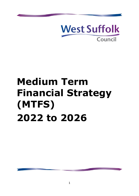

# **Medium Term Financial Strategy (MTFS) 2022 to 2026**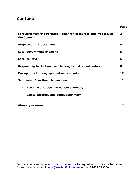# **Contents**

| Foreword from the Portfolio Holder for Resources and Property of<br>the Council | 3  |
|---------------------------------------------------------------------------------|----|
| <b>Purpose of this document</b>                                                 | 4  |
| <b>Local government financing</b>                                               | 5  |
| <b>Local context</b>                                                            | 6  |
| Responding to the financial challenges and opportunities                        | 8  |
| Our approach to engagement and consultation                                     | 12 |
| <b>Summary of our financial position</b>                                        | 12 |
| Revenue strategy and budget summary<br>$\bullet$                                |    |
| Capital strategy and budget summary                                             |    |
|                                                                                 |    |

**Page**

**17**

**Glossary of terms**

For more information about this document, or to request a copy in an alternative format, please email [finance@westsuffolk.gov.uk](mailto:finance@westsuffolk.gov.uk) or call 01638 719000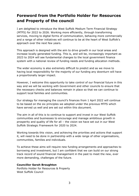# **Foreword from the Portfolio Holder for Resources and Property of the council**

I am delighted to introduce the West Suffolk Medium Term Financial Strategy (MTFS) for 2022 to 2026. Working more efficiently, through transforming services, moving to digital forms of communication, behaving more commercially and a range of other initiatives will continue to be at the heart of West Suffolk's approach over the next few years.

This approach is designed with the aim to drive growth in our local areas and increase locally generated funding. This is, and will be, increasingly important as 2023 to 2024 will see fundamental changes to the local government finance system with a national review of funding needs and funding allocation methods.

The wider economy is also extremely difficult to predict and as we move to having local responsibility for the majority of our funding any downturn will have a proportionally larger impact.

However, I welcome this opportunity to take control of our financial future in this way and we will be working with Government and other councils to ensure that the necessary checks and balances remain in place so that we can continue to support local families and communities.

Our strategy for managing the council's finances from 1 April 2022 will continue to be based on the six principles we adopted under the previous MTFS which have served us well and are set out within this document.

The aim in all of this is to continue to support and invest in our West Suffolk communities and businesses to encourage and manage ambitious growth in prosperity and quality of life for all – the vision we have set out in our West Suffolk Strategic Framework for 2020 to 2024.

Working towards this vision, and achieving the priorities and actions that support it, will need to be done in partnership with a wide range of other organisations, communities, families and individuals.

To achieve these aims will require new funding arrangements and approaches to borrowing and investment, but I am confident that we can build on our strong track record of sound financial management in the past to meet the new, ever more demanding, challenges of the future.

#### **Councillor Sarah Broughton**

Portfolio Holder for Resources & Property West Suffolk Council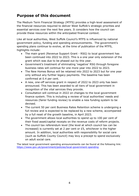# **Purpose of this document**

The Medium Term Financial Strategy (MTFS) provides a high-level assessment of the financial resources required to deliver West Suffolk's strategic priorities and essential services over the next few years. It considers how the council can provide these resources within the anticipated financial context.

Like all local authorities, West Suffolk Council's MTFS is influenced by national government policy, funding and spending announcements. The government's spending plans continue to evolve, at the time of publication of the MTFS, highlights include:

- The main grant (Revenue Support Grant RSG) to local government has been continued into 2022 to 2023. This is a one year only extension of the grant which was due to be phased out by this year.
- Government's treatment of eliminating 'negative' RSG through foregone business rates will continue for one more year into 2022 to 2023.
- The New Homes Bonus will be retained into 2022 to 2023 but for one year only without any further legacy payments. The baseline has been confirmed at 0.4 per cent.
- A new, one-off services grant in respect of 2022 to 2023 only has been announced. This has been awarded to all tiers of local government in recognition of the vital services they provide.
- Consultation will continue in 2022 on changes to the local government finance system. This is including a review of local authorities' needs and resources (fairer funding review) to enable a new funding system to be devised.
- The current 50 per cent Business Rates Retention scheme is undergoing a full review and is expected to be replaced by a new scheme, accompanied by a full reset of the growth baseline, in April 2023.
- The government allows local authorities to spend up to 100 per cent of their fixed asset/capital receipts on the revenue costs of reform projects.
- The council tax referendum level (the level at which council tax can be increased) is currently set at 2 per cent or £5, whichever is the higher amount. In addition, local authorities with responsibility for social care (such as Suffolk County Council) may levy a precept to spend exclusively on adult social care.

The latest local government spending announcements can be found at the following link: <https://www.gov.uk/government/policies/local-government-spending>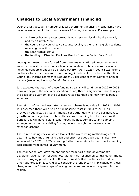# **Changes to Local Government Financing**

Over the last decade, a number of local government financing mechanisms have become embedded in the council's overall funding framework. For example:

- a share of business rates growth is now retained locally by the council, and by a Suffolk 'pool'
- the councils set council tax discounts locally, rather than eligible residents receiving council tax benefit
- the New Homes Bonus
- the funding of Disabled Facilities Grants from the Better Care Fund.

Local government is now funded from three main taxation/finance settlement sources; council tax, new homes bonus and a share of business rates income (revenue support grant will be phased out from April 2023). Council tax income continues to be the main source of funding, in total value, for local authorities. Council tax income represents just under 22 per cent of West Suffolk's annual income (excluding Housing Benefit Subsidy).

It is expected that each of these funding streams will continue in 2022 to 2023 however beyond the one year spending round, there is significant uncertainty in the basis and quantum of the business rates retention and new homes bonus schemes.

The reform of the business rates retention scheme is now due for 2023 to 2024. It is assumed there will also be a full baseline reset in 2023 to 2024 (as previously suggested by Government). For authorities who have business rate growth and are significantly above their current funding baseline, such as West Suffolk, this will have a significant impact, subject perhaps to any damping arrangements, on our existing funding levels through the business rates retention scheme.

The Fairer funding review, which looks at the overarching methodology that determines how much funding each authority receives each year is also now scheduled for 2023 to 2024, creating further uncertainty to the council's funding assessment from central government.

The changes to local government finance form part of the government's devolution agenda, by reducing local authorities' reliance on central government, and encouraging greater self-sufficiency. West Suffolk continues to work with other authorities in East Anglia to consider the longer term implications of these changes for the future shape of local government and economic growth in the region.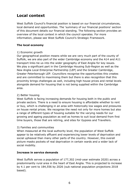# **Local context**

West Suffolk Council's financial position is based on our financial circumstances, local demand and opportunities. The 'summary of our financial positions' section of this document details our financial standing. The following section provides an overview of the local context in which the council operates. For more information, please see West Suffolk Council's Strategic Framework.

#### **The local economy**

#### 1) Economic growth

Our geographical position means while we are very much part of the county of Suffolk, we are also part of the wider Cambridge economy and the A14 and A11 transport links tie us into the wider geography of East Anglia for key issues. We play a significant part in the Cambridge Housing Sub-Region as well as the New Anglia Local Enterprise Partnership (LEP) and the Greater Cambridge, Greater Peterborough LEP. Councillors recognise the opportunities this creates and are committed to maximising them but there is also recognition that this proximity brings challenges as well, including high house prices and rental levels alongside demand for housing that is not being supplied within the Cambridge area.

#### 2) Better housing

West Suffolk is facing increasing demands for housing both in the public and private sectors. There is a need to ensure housing is affordable whether to rent or buy, which is challenging in an area with historically low wages and pressures on house rental prices. We recognise the need not only for more homes but also a range of different types of housing suitable for the varying needs for our growing and ageing population as well as homes to suit local demand from first time buyers, those that are retiring, and sites for Gypsies and Travellers.

### 3) Families and communities

When measured at the local authority level, the population of West Suffolk appear to be relatively affluent and experiencing lower levels of deprivation and social upheaval than many other parts of the country. However, this overall picture masks pockets of real deprivation in certain wards and a wider lack of social mobility.

#### **Increase in service demands**

West Suffolk serves a population of 177,302 (mid-year estimate 2020) across a predominantly rural area in the heart of East Anglia. This is projected to increase by 4.1 per cent to 184,556 by 2026 (sub national population projections 2018 based).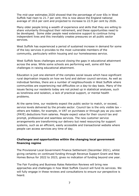The mid-year estimates 2020 showed that the percentage of over 65s in West Suffolk had risen to 21.7 per cent; this is now above the England national average of 18.6 per cent and projected to increase to 22.9 per cent by 2026.

Many older people bring a wealth of experience and skills that they are willing to share voluntarily throughout their retirement, and these opportunities need to be developed. Some older people need extensive support to continue living independent lives and this inevitably creates pressures on all public sector services.

West Suffolk has experienced a period of sustained increase in demand for some of the key services it provides to the most vulnerable members of the community, particularly within housing and our homelessness service.

West Suffolk faces challenges around closing the gaps in educational attainment across the area. While some schools are performing well, some still face challenges in raising educational attainment.

Education is just one element of the complex social issues which have significant rural deprivation impacts on how we fund and deliver council services. As well as individual families, there are a number of neighbourhoods in West Suffolk where communities are experiencing real difficulties on a day-to-day basis. Many of the issues facing our residents today are not picked up in statistical analyses, such as loneliness and isolation, a lack of practical support, or mental health problems.

At the same time, our residents expect the public sector to match, or exceed, service levels delivered by the private sector. Council tax is the only visible tax – others are hidden, for example, in VAT on purchases or through pay as you earn (PAYE) deductions from salaries. People expect value for their council tax and prompt, professional and seamless services. The new customer service arrangements are transforming our delivery but need resourcing for support systems, such as an efficient, easily accessible and transactional website where people can access services any time of day.

### **Challenges and opportunities within the changing local government financing regime**

The Provisional Local Government Finance Settlement (December 2021), whilst giving certainty on continued funding through Revenue Support Grant and New Homes Bonus for 2022 to 2023, gives no indication of funding beyond one year.

The Fair Funding and Business Rates Retention Reviews will bring new approaches and challenges in how West Suffolk Council will fund its services. We will fully engage in these reviews and consultations to ensure our perspective is heard.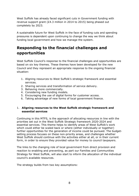West Suffolk has already faced significant cuts in Government funding with revenue support grant (£4.3 million in 2014 to 2015) being phased out completely by 2023.

A sustainable future for West Suffolk in the face of funding cuts and spending pressures is dependent upon continuing to change the way we think about funding local government and how we manage the system.

# **Responding to the financial challenges and opportunities**

West Suffolk Council's response to the financial challenges and opportunities are based on six key themes. These themes have been developed for the new Council and they represent an appropriate response to the ongoing financial situation:

- 1. Aligning resources to West Suffolk's strategic framework and essential services.
- 2. Sharing services and transformation of service delivery.
- 3. Behaving more commercially.
- 4. Considering new funding models.
- 5. Encouraging the use of digital forms for customer access.
- 6. Taking advantage of new forms of local government finance.

### 1. **Aligning resources to the West Suffolk strategic framework and essential services**

Continuing in this MTFS, is the approach of allocating resources in line with the priorities set out in the West Suffolk Strategic framework 2020-2024 and essential services. This theme helps to identify areas of West Suffolk's work which could either be scaled back or where (either individually or together) further opportunities for the generation of income could be pursued. The budgetsetting process focuses on these non-priority areas, and challenges whether West Suffolk should continue with the activities either at all, or in their current form, in order to ensure they provided value for money to council taxpayers.

The links to the changing role of local government from direct provision and reaction to enabling and preventing, as part our Families and Communities Strategy for West Suffolk, will also start to inform the allocation of the individual council's available resources.

The strategy builds from two key assumptions: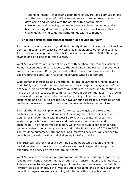• Changing needs – challenging definitions of poverty and deprivation and also the presumption of public services' role as meeting needs rather than developing and working with the assets within communities.

• Preventing and reducing demand – there are fewer resources and a history of rising demands on public services; we cannot resolve this challenge by trying to do the same things with less money.

#### 2. **Sharing services and transformation of service delivery**

The previous shared service agenda had already delivered in excess of £4 million per year in savings for West Suffolk which is in addition to other local savings. The creation of a single West Suffolk Council added a further £850,000 per year savings and efficiencies to this success.

West Suffolk shares a number of services with neighbouring councils including Human Resources and ICT support to the Anglia Revenue Partnership and legal support services with Babergh and Mid Suffolk Councils and will continue to explore further opportunity for sharing services where appropriate.

With demands increasing and uncertainty in local government funding beyond April 2023, it is critical that we continue to drive change and stay ahead of the financial curve to enable us to protect valuable local services and to continue to have the financial capacity to continue to invest in our communities. The growth in new and existing income streams will play a key role in our medium term sustainable and self-sufficient future, however our biggest focus must be on the continual review and transformation in the way we delivery our services.

The role that digital will play in our future state, alongside the role of our partners (public, private and voluntary) including the relationships across the tiers of local government within West Suffolk, will be critical in ensuring a system approach for our residents and businesses that is valued and sustainable. This transformational plan, which will include a series of service delivery reviews, began to take shape during the first quarter of 2021 to 2022. The resulting outcomes, both financial and improved services, will continue to contribute towards our financial challenges in 2022 to 2023.

The Business Partner model will continue to be operated through the MTFS period, whereby corporate or support services provide specialist support and expertise to all service areas and project teams.

West Suffolk is involved in a programme of Suffolk-wide working, supported by funding from central Government, through the Transformation Challenge Award. This work aims to integrate work by public sector partners across the Suffolk "system" so as to improve the lives of Suffolk residents and achieve savings for council taxpayers. As well as working with those within the public sector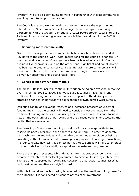"system", we are also continuing to work in partnership with local communities, enabling them to support themselves.

The Councils are also working with partners to maximise the opportunities offered by the Government's devolution agenda for example by working in partnership with the Greater Cambridge Greater Peterborough Local Enterprise Partnership and considering where responsibilities best sit within the Suffolk "system".

# 3. **Behaving more commercially**

Over the last few years more commercial behaviours have been embedded in key parts of the councils' work, with implications for the councils' finances. On the one hand, a number of savings have been achieved as a result of more business-like behaviours, and on the other hand, significant additional income has been generated in some service areas. Behaving more commercially will therefore continue to be a key theme running through the work needed to deliver our outcomes and a sustainable MTFS.

# 4. **Considering new funding models**

The West Suffolk council will continue its work on being an "investing authority" over the period 2022 to 2026. The West Suffolk councils have had a long tradition of investing in their communities in support of the delivery of their strategic priorities, in particular to aid economic growth across West Suffolk.

Depleting capital and revenue reserves and increased pressure on external funding mean that the council will need to consider investing away from the traditional funding models such as using their own reserves. Instead, focus is now on the optimum use of borrowing and the various options for accessing that capital that are available.

The financing of the chosen funding model itself is a challenge, with limited reserve balances available in the short to medium term. In order to generate new cash into the authorities and to enable our continued ambition of being an 'investing authority' means that borrowing or appropriate financing transactions, in order to create new cash, is something that West Suffolk will have to embrace in order to deliver on its ambitious capital and investment programme.

There are ample precedents which demonstrate that prudential borrowing has become a valuable tool for local government to achieve its strategic objectives. The use of unsupported borrowing (no security to a particular council asset) is both flexible and relatively straightforward.

With this in mind and as borrowing is required over the medium to long term for the authority, it is considered prudent to assess each investment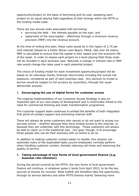opportunity/project on the basis of borrowing and its cost, assessing each project on an equal playing field regardless of their timings within the MTFS or the funding model used.

There are two annual costs associated with borrowing:

- servicing the debt the interest payable on the loan; and
- repayment of the loan/capital effectively through a minimum revenue provision (MRP) into the revenue account.

At the time of writing this plan, these costs would be in the region of 2.75 per cent interest (based on a Public Works Loan Board, PWLB, rate over 40 years). MRP is calculated to ensure that the capital is fully repaid over the economic life of the asset. In order to assess each project on a level playing field these costs will be included in each business case. Naturally a change in interest rate or MRP rate would change the rates used in each potential project.

The choice of funding model for each investment opportunity/project will be based on its individual merits, financial return/costs including the overall risk exposure, considered as part of each business case. Any decision to invest or borrow would be subject to full scrutiny by councillors, through the usual democratic process.

# 5. **Encouraging the use of digital forms for customer access**

The ongoing implementation of our Customer Access Strategy is also an important part of our next phase of development and is inextricably linked to the need for commercial thinking and wider transformation programme.

The customer support team continues to embed the benefits of both integrated first-point-of-contact support and promoting channel shift.

There will always be some customers who cannot or do not want to access our services online – whether because they have limited access to the internet, or because they are unfamiliar with this technology. These customers will always be able to reach us in the traditional way. Our goal, though, is to encourage those people who can do their business with us online to do so.

In addition to making customer contact easier to handle, this solution can automate many of the duplicated tasks council employees normally perform when handling customer contact, thereby reducing call times and improving the quality of service.

### 6. **Taking advantage of new forms of local government finance (e.g. business rate retention)**

During the period covered by the MTFS, the new forms of local government finance will continue, in whatever guise it lands from April 2023, to be the key sources of income for councils. West Suffolk will therefore take the opportunity, through its service delivery and other MTFS themes mainly 'behaving more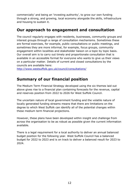commercially' and being an 'investing authority', to grow our own funding through a strong, and growing, local economy alongside the skills, infrastructure and housing to sustain it.

# **Our approach to engagement and consultation**

The council regularly engages with residents, businesses, community groups and interest groups through a range of consultation mechanisms. Sometimes these are formal exercises, for example, public consultations or public meetings, and sometimes they are more informal, for example, focus groups, community engagement within localities and stakeholder liaison on a topic by topic basis. Our overall aim is to carry out timely and proportionate consultation that is available in an accessible format for everyone who wants to give us their views on a particular matter. Details of current and closed consultations by the councils are available here:

<http://www.westsuffolk.gov.uk/council/consultations/>

# **Summary of our financial position**

The Medium Term Financial Strategy developed using the six themes laid out above gives rise to a financial plan containing forecasts for the revenue, capital and reserves position from 2022 to 2026 for West Suffolk Council.

The uncertain nature of local government funding and the volatile nature of locally generated funding streams means that there are limitations on the degree to which West Suffolk can identify all of the potential changes within these medium term financial projections.

However, these plans have been developed within insight and challenge from across the organisation to be as robust as possible given the current information available.

There is a legal requirement for a local authority to deliver an annual balanced budget position for the following year. West Suffolk Council has a balanced budget for 2022 to 2023 and is on track to deliver a balanced result for 2023 to 2024.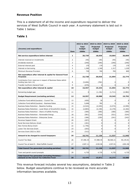#### **Revenue Position**

This is a statement of all the income and expenditure required to deliver the services of West Suffolk Council in each year. A summary statement is laid out in Table 1 below:

# **Table 1**

| (Income) and expenditure:                                                                       | Item           | 2022 to 2023<br><b>Total</b><br>budget<br>£000s | 2023 to 2024<br><b>Projected</b><br>budget<br>£000s | 2024 to 2025<br><b>Projected</b><br>budget<br>£000s | 2025 to 2026<br><b>Projected</b><br>budget<br>£000s |
|-------------------------------------------------------------------------------------------------|----------------|-------------------------------------------------|-----------------------------------------------------|-----------------------------------------------------|-----------------------------------------------------|
| Net service expenditure before interest                                                         | 1              | 20,739                                          | 18,036                                              | 19,064                                              | 20,859                                              |
| Interest received on investments                                                                | $\overline{2}$ | (40)                                            | (40)                                                | (40)                                                | (40)                                                |
| Dividends received                                                                              | 3              | (240)                                           | (240)                                               | (240)                                               | (240)                                               |
| External interest paid                                                                          | $\overline{4}$ | 170                                             | 170                                                 | 170                                                 | 170                                                 |
| Interest on borrowing                                                                           | 5              | 1,360                                           | 1,340                                               | 1,317                                               | 1,220                                               |
| Minimum Revenue Provision                                                                       | 6              | 739                                             | 760                                                 | 783                                                 | 805                                                 |
| Net expenditure after interest & capital for General Fund<br><b>Purposes</b>                    | $\overline{z}$ | 22,728                                          | 20,026                                              | 21,054                                              | 22,774                                              |
| Contribution from reserves in respect of Business Rates deficit<br>funding (see item 14)        | 8              | (5,696)                                         | (782)                                               | 0                                                   | 0                                                   |
| Transfer to/(from) General Fund                                                                 | 9              | (475)                                           | $\Omega$                                            | $\Omega$                                            | $\Omega$                                            |
| Net expenditure after interest & capital                                                        | 10             | 16,557                                          | 19,244                                              | 21,054                                              | 22,774                                              |
| Remaining budget gap                                                                            | 11             | 0                                               | (1, 156)                                            | (1, 711)                                            | (2,982)                                             |
| <b>Budget Requirement (excluding parishes)</b>                                                  | 12             | 16,557                                          | 18,088                                              | 19,343                                              | 19,792                                              |
| Collection Fund deficit/(surplus) - Council Tax                                                 | 13             | (459)                                           | 30                                                  | 0                                                   | $\mathbf 0$                                         |
| Collection Fund deficit/(surplus) - Business Rates                                              | 14             | 5,696                                           | 782                                                 | $\mathbf 0$                                         | $\mathbf 0$                                         |
| Business Rates Retention - Baseline funding                                                     | 15             | (4, 524)                                        | (4, 549)                                            | (4, 574)                                            | (4, 599)                                            |
| Business Rates Retention - Local Share of Growth/S31 Grants                                     | 16             | (2,803)                                         | (2, 158)                                            | (2, 170)                                            | (2, 182)                                            |
| Business Rates Retention - Share of Suffolk Pooling                                             | 17             | (300)                                           | (300)                                               | (300)                                               | (300)                                               |
| Business Rates Retention - Renewable Energy                                                     | 18             | (581)                                           | (518)                                               | (521)                                               | (524)                                               |
| Business Rates Retention - Enterprise Zones                                                     | 19             | (186)                                           | (239)                                               | (241)                                               | (242)                                               |
| Revenue Support Grant                                                                           | 20             | (207)                                           | $\Omega$                                            | $\Omega$                                            | $\mathbf 0$                                         |
| Rural Services Delivery Grant                                                                   | 21             | (181)                                           | $\mathbf 0$                                         | $\mathbf 0$                                         | $\mathbf 0$                                         |
| New Homes Bonus Grant                                                                           | 22             | (1,756)                                         | $\mathbf 0$                                         | $\Omega$                                            | $\mathbf 0$                                         |
| Lower Tier Services Grant                                                                       | 23             | (203)                                           | $\pmb{0}$                                           | $\mathbf 0$                                         | $\mathbf 0$                                         |
| Services Grant 2022 to 2023                                                                     | 24             | (312)                                           | 0                                                   | $\Omega$                                            | $\mathbf 0$                                         |
| Amount to be charged to council taxpayers                                                       | 25             | 10,741                                          | 11,136                                              | 11,537                                              | 11,945                                              |
| Council Tax Base                                                                                | 26             | 57,406.34                                       | 57,980.40                                           | 58,560.21                                           | 59,145.81                                           |
| Council Tax at band D - West Suffolk Council                                                    | 27             | £187.11                                         | £192.06                                             | £197.01                                             | £201.96                                             |
| <b>Total Council Tax generated (excluding parishes)</b>                                         | 28             | 10,741                                          | 11,136                                              | 11,537                                              | 11,945                                              |
| Town and parish council precepts                                                                | 29             | 4,735                                           | 4,735                                               | 4,735                                               | 4,735                                               |
| Total Council Tax generated (including Parishes) -<br>demand on the Council Tax Collection Fund | 30             | 15,476                                          | 15,871                                              | 16,272                                              | 16,680                                              |

This revenue forecast includes several key assumptions, detailed in Table 2 below. Budget assumptions continue to be reviewed as more accurate information becomes available.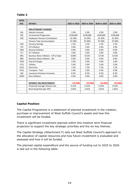# **Table 2**

| <b>MTFS</b>     |                                        |              |              |              |              |
|-----------------|----------------------------------------|--------------|--------------|--------------|--------------|
| ASS.            | <b>DETAILS</b>                         | 2022 to 2023 | 2023 to 2024 | 2024 to 2025 | 2025 to 2026 |
|                 |                                        |              |              |              |              |
|                 | <b>INFLATIONARY CHANGES</b>            |              |              |              |              |
| <b>SAL</b>      | Salaries Increase                      | 2.0%         | 2.0%         | 2.0%         | 2.0%         |
| <b>INC</b>      | <b>Incremental Progression</b>         | £240.000     | £240,000     | £240,000     | £240,000     |
| <b>ERS</b>      | <b>Employers Pension Contribution</b>  | 32.30%       | 32.30%       | 32.30%       | 32.30%       |
|                 | Pension Take-Up Assumption             | 97.00%       | 97.00%       | 97.00%       | 97.00%       |
| <b>VAC</b>      | <b>Vacancy Savings</b>                 | 2.5%         | 2.5%         | 2.5%         | 2.5%         |
| <b>CPI</b>      | <b>CPI Inflation</b>                   | 3.0%         | 3.0%         | 3.0%         | 3.0%         |
| <b>GEN</b>      | <b>General Inflation</b>               | 0.0%         | 0.0%         | 0.0%         | 0.0%         |
| ICT             | <b>ICT Inflation</b>                   | 3.0%         | 3.0%         | 3.0%         | 3.0%         |
| BR1             | Business Rates Inflation - CPI at Sept | 0.00%        | 0.55%        | 0.55%        | 0.55%        |
| BR <sub>2</sub> | <b>Business Rates Inflation - 0%</b>   | 0.0%         | 0.0%         | 0.0%         | 0.0%         |
| <b>FEES</b>     | Fees & Charges                         | 2.0%         | 2.0%         | 2.0%         | 2.0%         |
| UTIL            | <b>Utilities</b>                       | 5.0%         | 5.0%         | 5.0%         | 5.0%         |
| <b>ELEC</b>     | Electricity                            | 7.5%         | 7.5%         | 7.5%         | 7.5%         |
| <b>FUEL</b>     | Transport - Fuel                       | 5.0%         | 5.0%         | 5.0%         | 5.0%         |
| <b>INS</b>      | <b>Insurance Premium Increases</b>     | 8.3%         | 8.3%         | 8.3%         | 8.3%         |
| <b>ZERO</b>     | Zero Inflation                         | 0.0%         | 0.0%         | 0.0%         | 0.0%         |
|                 |                                        |              |              |              |              |
|                 | <b>INTEREST ON INVESTMENTS</b>         | (45,000)     | (45,000)     | (45,000)     | (45,000)     |
|                 | Projected average interest rate        | 0.25%        | 0.25%        | 0.25%        | 0.25%        |
|                 | Borrowing Rate (per KPI)               | 2.81%        | 2.81%        | 2.81%        | 2.81%        |
|                 |                                        |              |              |              |              |

### **Capital Position**

The Capital Programme is a statement of planned investment in the creation, purchase or improvement of West Suffolk Council's assets and how this investment will be funded.

There is significant investment planned within this medium term financial projection to support the key strategic priorities and the six key themes.

The Capital Strategy (Attachment F) sets out West Suffolk Council's approach to the allocation of capital resources and how future investment is evaluated and assessed and how it will be funded.

The planned capital expenditure and the source of funding out to 2025 to 2026 is laid out in the following table: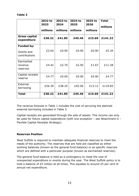|                                                  | 2022 to<br>2023<br>millions | 2023 to<br>2024<br>millions | 2024 to<br>2025<br>millions | 2025 to<br>2026<br>millions | <b>Total</b><br>millions |
|--------------------------------------------------|-----------------------------|-----------------------------|-----------------------------|-----------------------------|--------------------------|
| <b>Gross capital</b><br>expenditure              | £38.22                      | £41.85                      | £45.46                      | £15.69                      | £141.22                  |
| <b>Funded by:</b><br>Grants and<br>contributions | £2.64                       | £0.90                       | £0.90                       | £0.90                       | £5.34                    |
| Earmarked<br>revenue<br>reserves                 | £4.42                       | £2.70                       | £2.50                       | £1.67                       | £11.28                   |
| Capital receipts<br>reserve                      | £4.77                       | £0.00                       | £0.00                       | £0.00                       | £4.77                    |
| External<br>borrowing                            | £26.39                      | £38.25                      | £42.06                      | £13.12                      | £119.83                  |
| <b>Total</b>                                     | £38.22                      | £41.85                      | £45.46                      | £15.69                      | £141.22                  |

┑

The revenue forecast in Table 1 includes the cost of servicing the planned external borrowing included in Table 3.

Capital receipts are generated through the sale of assets. This income can only be used for future capital expenditure (with one exception – see Attachment G – Flexible Capital Receipts Strategy).

#### **Reserves Position**

**Table 3**

 $\blacksquare$ 

West Suffolk is required to maintain adequate financial reserves to meet the needs of the authority. The reserves that are held are classified as either working balances (known as the general fund balance) or as specific reserves which are defined with a particular purpose (known as earmarked reserves).

The general fund balance is held as a contingency to meet the cost of unexpected expenditure or events during the year. The West Suffolk policy is to hold a balance of £5 million at all times. This equates to around 25 per cent of annual net expenditure.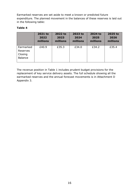Earmarked reserves are set aside to meet a known or predicted future expenditure. The planned movement in the balances of these reserves is laid out in the following table:

# **Table 4**

|                                                    | 2021 to  | 2022 to  | 2023 to  | 2024 to  | 2025 to  |
|----------------------------------------------------|----------|----------|----------|----------|----------|
|                                                    | 2022     | 2023     | 2024     | 2025     | 2026     |
|                                                    | millions | millions | millions | millions | millions |
| Earmarked<br>Reserves<br>Closing<br><b>Balance</b> | £40.9    | £35.3    | £34.0    | £34.2    | £35.4    |

The revenue position in Table 1 includes prudent budget provisions for the replacement of key service delivery assets. The full schedule showing all the earmarked reserves and the annual forecast movements is in Attachment D Appendix 3.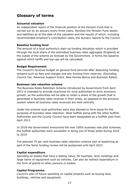# **Glossary of terms**

#### **Actuarial valuation**

An independent report of the financial position of the Pension Fund that is carried out by an actuary every three years. Reviews the Pension Fund assets and liabilities as at the date of the valuation and the results of which, including recommended employer's contribution rates, the Actuary reports to the Council.

#### **Baseline funding level**

The amount of a local authority's start-up funding allocation which is provided through the local share of the estimated business rates aggregate (England) at the outset of the scheme as forecast by the Government. It forms the baseline against which tariffs and top-ups will be calculated.

#### **Budget Requirement**

The Council's revenue budget on general fund services after deducting funding streams such as fees and charges and any funding from reserves. (Excluding Council Tax, Revenue Support Grant, New Homes Bonus and Business Rates).

#### **Business rate retention scheme**

The Business Rates Retention Scheme introduced by Government from April 2013 is intended to provide incentives for local authorities to drive economic growth, as the authorities will be able to retain a share of the growth that is generated in business rates revenue in their areas, as opposed to the previous system where all business rates revenues are held centrally.

Under the scheme local authorities were also allowed to form pools for the purposes of business rates retention. West Suffolk along with the other Suffolk Authorities and the County Council have been designated as a Suffolk pool from April 2013.

In 2018 the Government announced the new 100% business rate pilot schemes, the Suffolk authorities were successful in being one of those pilots during 2018 to 2019.

The planned 75 per cent business rates retention scheme and re-baselining as part of the fairer funding review will be postponed until April 2023.

#### **Capital expenditure**

Spending on assets that have a lasting value, for example, land, buildings and large items of equipment such as vehicles. Can also be indirect expenditure in the form of grants to other persons or bodies.

### **Capital Programme**

Council's plan of future spending on capital projects such as buying land, buildings, vehicles and equipment.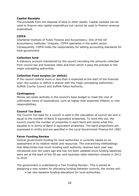### **Capital Receipts**

The proceeds from the disposal of land or other assets. Capital receipts can be used to finance new capital expenditure but cannot be used to finance revenue expenditure.

# **CIPFA**

Chartered Institute of Public Finance and Accountancy. One of the UK accountancy institutes. Uniquely, CIPFA specialise in the public sector. Consequently, CIPFA holds the responsibility for setting accounting standards for local government.

# **Collection fund**

A statutory account maintained by the council recording the amounts collected from council tax and business rates and from which it pays the precept to the major precepting authorities.

# **Collection Fund surplus (or deficit)**

If the council collects more or less than it expected at the start of the financial year, the surplus or deficit is shared with the major precepting authorities - Suffolk County Council and Suffolk Police Authority.

### **Contingency**

Money set-aside centrally in the council's base budget to meet the cost of unforeseen items of expenditure, such as higher than expected inflation or new responsibilities.

### **Council Tax Base**

The Council Tax base for a council is used in the calculation of council tax and is equal to the number of Band D equivalent properties. To work this out, the council counts the number of properties in each band and works what this equates to in terms of Band D equivalent properties. The band proportions are expressed in ninths and are specified in the Local Government Finance Act 1992.

### **Fairer Funding Review**

Central government funding for local authorities is currently based on an assessment of its relative needs and resources. The overarching methodology that determines how much funding each authority receives each year was introduced over ten years ago and has not been updated since funding baselines were set at the start of the 50 per cent business rates retention scheme in 2013 to 2014.

The government is undertaking a 'Fair Funding Review'. This is aimed at designing a new system for allocating funding between councils, the review will:

• set new baseline funding allocations for local authorities,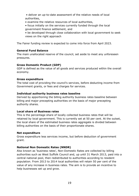- deliver an up-to-date assessment of the relative needs of local authorities,
- examine the relative resources of local authorities,
- focus initially on the services currently funded through the local government finance settlement, and
- be developed through close collaboration with local government to seek views on the right approach

The Fairer funding review is expected to come into force from April 2023.

# **General Fund Balance**

The main unallocated reserve of the council, set aside to meet any unforeseen pressures.

# **Gross Domestic Product (GDP)**

GDP is defined as the value of all goods and services produced within the overall economy.

# **Gross expenditure**

The total cost of providing the council's services, before deducting income from Government grants, or fees and charges for services.

# **Individual authority business rates baseline**

Derived by apportioning the billing authority business rates baseline between billing and major precepting authorities on the basis of major precepting authority shares.

# **Local share of Business rates**

This is the percentage share of locally collected business rates that will be retained by local government. This is currently set at 50 per cent. At the outset, the local share of the estimated business rates aggregate is divided between billing authorities on the basis of their proportionate shares.

### **Net expenditure**

Gross expenditure less services income, but before deduction of government grant.

# **National Non Domestic Rates (NNDR)**

Also known as 'business rates', Non-Domestic Rates are collected by billing authorities such as West Suffolk Council and, up until 31 March 2013, paid into a central national pool, then redistributed to authorities according to resident population. From 2013 to 2014 local authorities will retain 50 per cent of the value of any increase in business rates. The aim is to provide an incentive to help businesses set up and grow.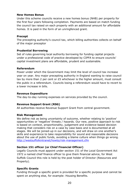#### **New Homes Bonus**

Under this scheme councils receive a new homes bonus (NHB) per property for the first four years following completion. Payments are based on match funding the council tax raised on each property with an additional amount for affordable homes. It is paid in the form of an unringfenced grant.

#### **Precept**

The precepting authority's council tax, which billing authorities collects on behalf of the major preceptor

#### **Prudential Borrowing**

Set of rules governing local authority borrowing for funding capital projects under a professional code of practice developed by CIPFA to ensure councils' capital investment plans are affordable, prudent and sustainable.

#### **Referendum**

Power under which the Government may limit the level of council tax increase year on year. Any major precepting authority in England wanting to raise council tax by more than 2 per cent or £5 whichever is the higher amount, must consult the public in a referendum. Councils losing a referendum would have to revert to a lower increase in bills.

#### **Revenue Expenditure**

The day-to-day running expenses on services provided by the council.

### **Revenue Support Grant (RSG)**

All authorities receive Revenue Support Grant from central government.

#### **Risk Management**

We define risk as being uncertainty of outcome, whether relating to 'positive' opportunities or 'negative' threats / hazards. Our new, positive approach to risk is based on context, proportionality, judgement and evidence-based decision making that considers risk on a case by case basis and is documented at all stages. We will be joined-up in our decisions, and will draw on one another's skills and experience to take responsibility for sound and reasonable decisions about the use of public funds, avoiding a blame culture when things go wrong. <http://westsuffolkintranet/howto/risk-management.cfm>

### **Section 151 officer (or Chief Financial Officer)**

Legally Councils must appoint under section 151 of the Local Government Act 1972 a named chief finance officer to give them financial advice, for West Suffolk Council this role is held by the post holder of Director (Resources and Property).

#### **Specific Grants**

Funding through a specific grant is provided for a specific purpose and cannot be spent on anything else, for example: Housing Benefits.